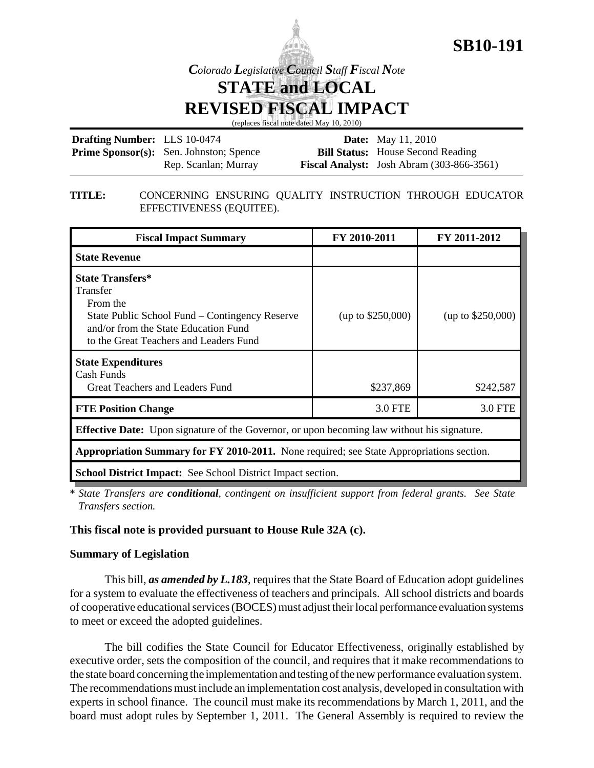

*Colorado Legislative Council Staff Fiscal Note*

**STATE and LOCAL REVISED FISCAL IMPACT**

(replaces fiscal note dated May 10, 2010)

| <b>Drafting Number:</b> LLS 10-0474 |                                                | <b>Date:</b> May 11, 2010                          |
|-------------------------------------|------------------------------------------------|----------------------------------------------------|
|                                     | <b>Prime Sponsor(s):</b> Sen. Johnston; Spence | <b>Bill Status:</b> House Second Reading           |
|                                     | Rep. Scanlan; Murray                           | <b>Fiscal Analyst:</b> Josh Abram $(303-866-3561)$ |

#### **TITLE:** CONCERNING ENSURING QUALITY INSTRUCTION THROUGH EDUCATOR EFFECTIVENESS (EQUITEE).

| <b>Fiscal Impact Summary</b>                                                                                                                                                        | FY 2010-2011      | FY 2011-2012        |  |  |  |
|-------------------------------------------------------------------------------------------------------------------------------------------------------------------------------------|-------------------|---------------------|--|--|--|
| <b>State Revenue</b>                                                                                                                                                                |                   |                     |  |  |  |
| <b>State Transfers*</b><br>Transfer<br>From the<br>State Public School Fund – Contingency Reserve<br>and/or from the State Education Fund<br>to the Great Teachers and Leaders Fund | (up to \$250,000) | (up to $$250,000$ ) |  |  |  |
| <b>State Expenditures</b><br>Cash Funds<br>Great Teachers and Leaders Fund                                                                                                          | \$237,869         | \$242,587           |  |  |  |
| <b>FTE Position Change</b>                                                                                                                                                          | 3.0 FTE           | 3.0 FTE             |  |  |  |
| <b>Effective Date:</b> Upon signature of the Governor, or upon becoming law without his signature.                                                                                  |                   |                     |  |  |  |
| <b>Appropriation Summary for FY 2010-2011.</b> None required; see State Appropriations section.                                                                                     |                   |                     |  |  |  |
| <b>School District Impact:</b> See School District Impact section.                                                                                                                  |                   |                     |  |  |  |

\* *State Transfers are conditional, contingent on insufficient support from federal grants. See State Transfers section.* 

### **This fiscal note is provided pursuant to House Rule 32A (c).**

### **Summary of Legislation**

This bill, *as amended by L.183*, requires that the State Board of Education adopt guidelines for a system to evaluate the effectiveness of teachers and principals. All school districts and boards of cooperative educational services (BOCES) must adjust their local performance evaluation systems to meet or exceed the adopted guidelines.

The bill codifies the State Council for Educator Effectiveness, originally established by executive order, sets the composition of the council, and requires that it make recommendations to the state board concerning the implementation and testing of the new performance evaluation system. The recommendations must include an implementation cost analysis, developed in consultation with experts in school finance. The council must make its recommendations by March 1, 2011, and the board must adopt rules by September 1, 2011. The General Assembly is required to review the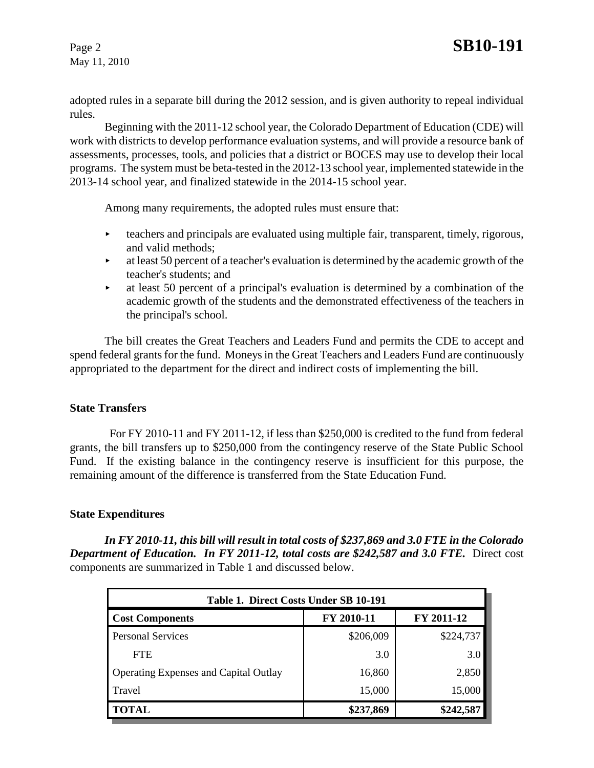May 11, 2010

adopted rules in a separate bill during the 2012 session, and is given authority to repeal individual rules.

Beginning with the 2011-12 school year, the Colorado Department of Education (CDE) will work with districts to develop performance evaluation systems, and will provide a resource bank of assessments, processes, tools, and policies that a district or BOCES may use to develop their local programs. The system must be beta-tested in the 2012-13 school year, implemented statewide in the 2013-14 school year, and finalized statewide in the 2014-15 school year.

Among many requirements, the adopted rules must ensure that:

- $\triangleright$  teachers and principals are evaluated using multiple fair, transparent, timely, rigorous, and valid methods;
- $\blacktriangleright$  at least 50 percent of a teacher's evaluation is determined by the academic growth of the teacher's students; and
- $\blacktriangleright$  at least 50 percent of a principal's evaluation is determined by a combination of the academic growth of the students and the demonstrated effectiveness of the teachers in the principal's school.

The bill creates the Great Teachers and Leaders Fund and permits the CDE to accept and spend federal grants for the fund. Moneys in the Great Teachers and Leaders Fund are continuously appropriated to the department for the direct and indirect costs of implementing the bill.

### **State Transfers**

 For FY 2010-11 and FY 2011-12, if less than \$250,000 is credited to the fund from federal grants, the bill transfers up to \$250,000 from the contingency reserve of the State Public School Fund. If the existing balance in the contingency reserve is insufficient for this purpose, the remaining amount of the difference is transferred from the State Education Fund.

### **State Expenditures**

*In FY 2010-11, this bill will result in total costs of \$237,869 and 3.0 FTE in the Colorado* **Department of Education. In FY 2011-12, total costs are \$242,587 and 3.0 FTE.** Direct cost components are summarized in Table 1 and discussed below.

| Table 1. Direct Costs Under SB 10-191        |            |            |  |  |  |  |
|----------------------------------------------|------------|------------|--|--|--|--|
| <b>Cost Components</b>                       | FY 2010-11 | FY 2011-12 |  |  |  |  |
| <b>Personal Services</b>                     | \$206,009  | \$224,737  |  |  |  |  |
| <b>FTE</b>                                   | 3.0        | 3.0        |  |  |  |  |
| <b>Operating Expenses and Capital Outlay</b> | 16,860     | 2,850      |  |  |  |  |
| Travel                                       | 15,000     | 15,000     |  |  |  |  |
| <b>TOTAL</b>                                 | \$237,869  | \$242,587  |  |  |  |  |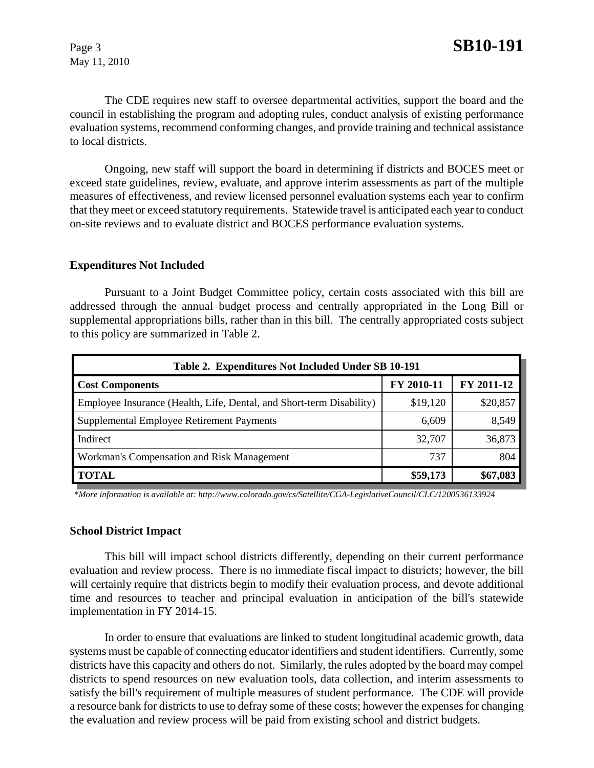May 11, 2010

The CDE requires new staff to oversee departmental activities, support the board and the council in establishing the program and adopting rules, conduct analysis of existing performance evaluation systems, recommend conforming changes, and provide training and technical assistance to local districts.

Ongoing, new staff will support the board in determining if districts and BOCES meet or exceed state guidelines, review, evaluate, and approve interim assessments as part of the multiple measures of effectiveness, and review licensed personnel evaluation systems each year to confirm that they meet or exceed statutory requirements. Statewide travel is anticipated each year to conduct on-site reviews and to evaluate district and BOCES performance evaluation systems.

#### **Expenditures Not Included**

Pursuant to a Joint Budget Committee policy, certain costs associated with this bill are addressed through the annual budget process and centrally appropriated in the Long Bill or supplemental appropriations bills, rather than in this bill. The centrally appropriated costs subject to this policy are summarized in Table 2.

| Table 2. Expenditures Not Included Under SB 10-191                   |            |            |  |  |  |  |
|----------------------------------------------------------------------|------------|------------|--|--|--|--|
| <b>Cost Components</b>                                               | FY 2010-11 | FY 2011-12 |  |  |  |  |
| Employee Insurance (Health, Life, Dental, and Short-term Disability) | \$19,120   | \$20,857   |  |  |  |  |
| Supplemental Employee Retirement Payments                            | 6,609      | 8,549      |  |  |  |  |
| Indirect                                                             | 32,707     | 36,873     |  |  |  |  |
| Workman's Compensation and Risk Management                           | 737        | 804        |  |  |  |  |
| <b>TOTAL</b>                                                         | \$59,173   | \$67,083   |  |  |  |  |

 *\*More information is available at: http://www.colorado.gov/cs/Satellite/CGA-LegislativeCouncil/CLC/1200536133924*

#### **School District Impact**

This bill will impact school districts differently, depending on their current performance evaluation and review process. There is no immediate fiscal impact to districts; however, the bill will certainly require that districts begin to modify their evaluation process, and devote additional time and resources to teacher and principal evaluation in anticipation of the bill's statewide implementation in FY 2014-15.

In order to ensure that evaluations are linked to student longitudinal academic growth, data systems must be capable of connecting educator identifiers and student identifiers. Currently, some districts have this capacity and others do not. Similarly, the rules adopted by the board may compel districts to spend resources on new evaluation tools, data collection, and interim assessments to satisfy the bill's requirement of multiple measures of student performance. The CDE will provide a resource bank for districts to use to defray some of these costs; however the expenses for changing the evaluation and review process will be paid from existing school and district budgets.